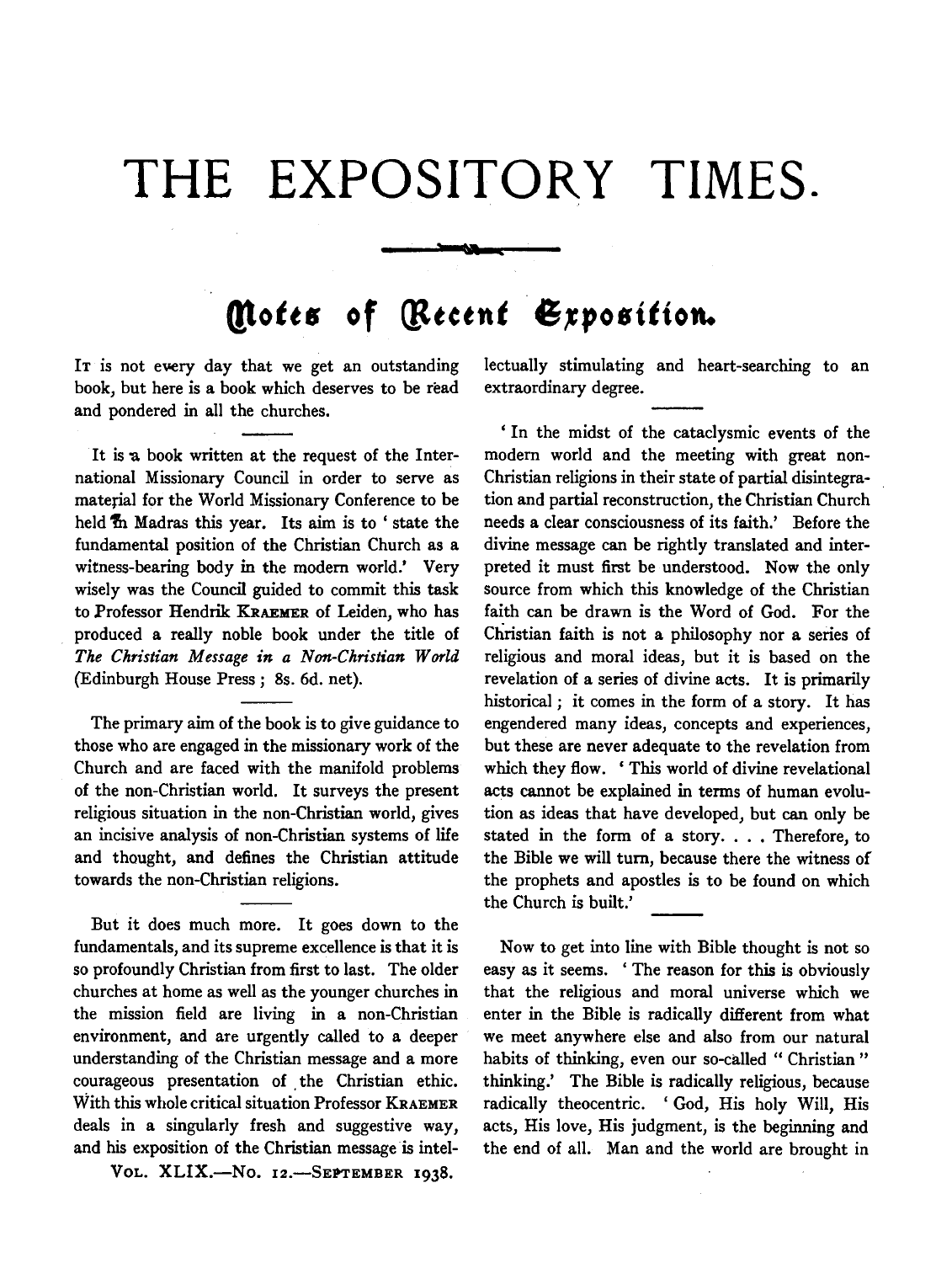## **THE EXPOSITORY TIMES.**

w

## **Qtotts of** *&tetnt 6,position.*

IT is not every day that we get an outstanding book, but here is a book which deserves to be read and pondered in all the churches.

It is a book written at the request of the International Missionary Council in order to serve as material for the World Missionary Conference to be held  $\overline{\mathbf{m}}$  Madras this year. Its aim is to 'state the fundamental position of the Christian Church as a witness-bearing body in the modem world.' Very wisely was the Council guided to commit this task to Professor Hendrik KRAEMER of Leiden, who has produced a really noble book under the title of *The Christian Message in a Non-Christian World*  (Edinburgh House Press; 8s. 6d. net).

The primary aim of the book is to give guidance to those who are engaged in the missionary work of the Church and are faced with the manifold problems of the non-Christian world. It surveys the present religious situation in the non-Christian world, gives an incisive analysis of non-Christian systems of life and thought, and defines the Christian attitude towards the non-Christian religions.

But it does much more. It goes down to the fundamentals, and its supreme excellence is that it is so profoundly Christian from first to last. The older churches at home as well as the younger churches in the mission field are living in a non-Christian environment, and are urgently called to a deeper understanding of the Christian message and a more courageous presentation of the Christian ethic. With this whole critical situation Professor KRAEMER deals in a singularly fresh and suggestive way, and his exposition of the Christian message is intel-

VOL. XLIX.-No.  $12.$ -SEPTEMBER 1938.

lectually stimulating and heart-searching to an extraordinary degree.

' In the midst of the cataclysmic events of the modem world and the meeting with great non-Christian religions in their state of partial disintegration and partial reconstruction, the Christian Church needs a clear consciousness of its faith.' Before the divine message can be rightly translated and interpreted it must first be understood. Now the only source from which this knowledge of the Christian faith can be drawn is the Word of God. For the Christian faith is not a philosophy nor a series of religious and moral ideas, but it is based on the revelation of a series of divine acts. It is primarily historical; it comes in the form of a story. It has engendered many ideas, concepts and experiences, but these are never adequate to the revelation from which they flow. 'This world of divine revelational acts cannot be explained in terms of human evolution as ideas that have developed, but can only be stated in the form of a story.... Therefore, to the Bible we will tum, because there the witness of the prophets and apostles is to be found on which the Church is built.'

Now to get into line with Bible thought is not so easy as it seems. ' The reason for this is obviously that the religious and moral universe which we enter in the Bible is radically different from what we meet anywhere else and also from our natural habits of thinking, even our so-called " Christian" thinking.' The Bible is radically religious, because radically theocentric. ' God, His holy Will, His acts, His love, His judgment, is the beginning and the end of all. Man and the world are brought in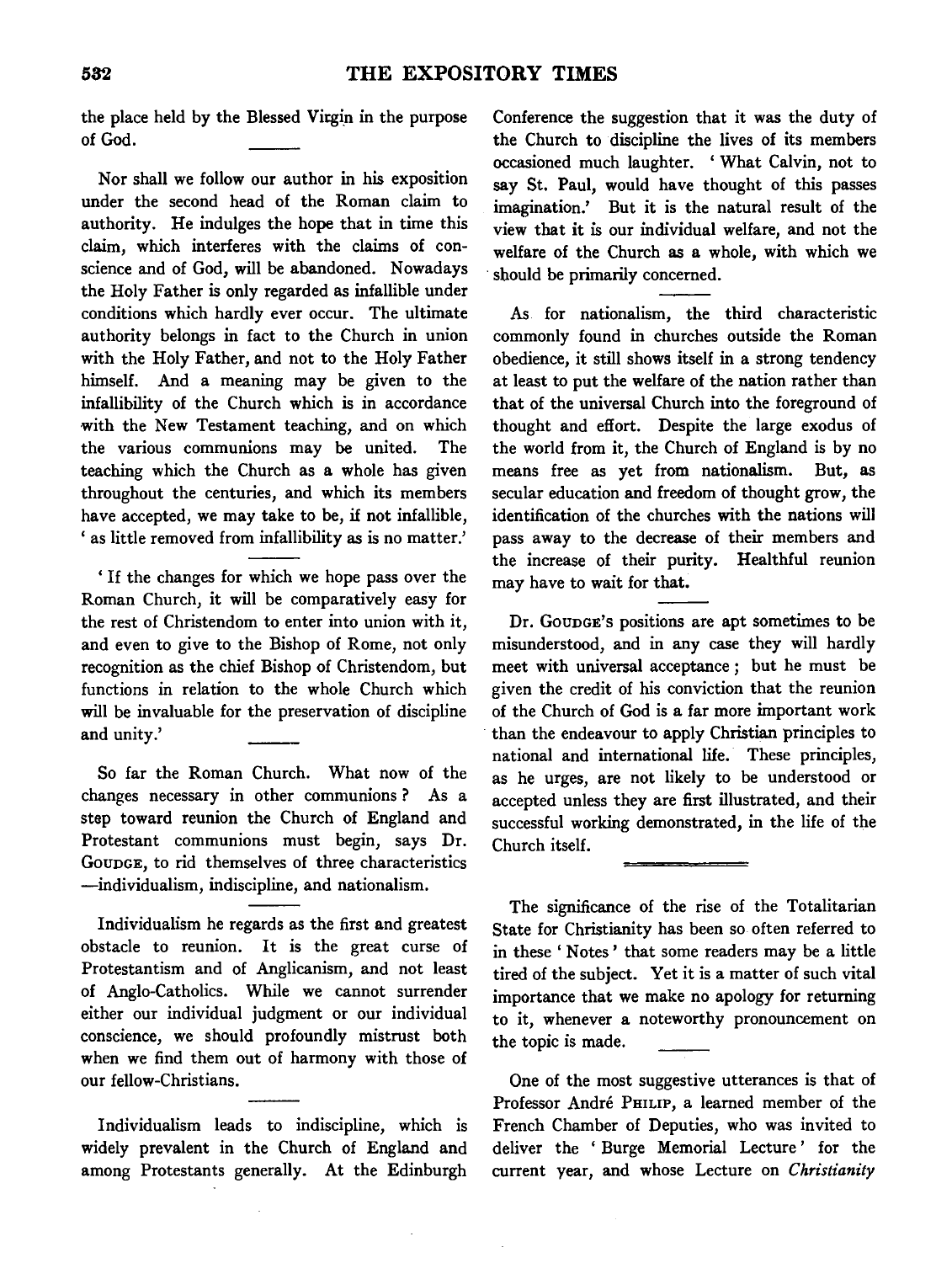the place held by the Blessed Virgin in the purpose of God.

Nor shall we follow our author in his exposition under the second head of the Roman claim to authority. He indulges the hope that in time this claim, which interferes with the claims of conscience and of God, will be abandoned. Nowadays the Holy Father is only regarded as infallible under conditions which hardly ever occur. The ultimate authority belongs in fact to the Church in union with the Holy Father, and not to the Holy Father himself. And a meaning may be given to the infallibility of the Church which is in accordance with the New Testament teaching, and on which the various communions may be united. The teaching which the Church as a whole has given throughout the centuries, and which its members have accepted, we may take to be, if not infallible, ' as little removed from infallibility as is no matter.'

' If the changes for which we hope pass over the Roman Church, it will be comparatively easy for the rest of Christendom to enter into union with it, and even to give to the Bishop of Rome, not only recognition as the chief Bishop of Christendom, but functions in relation to the whole Church which will be invaluable for the preservation of discipline and unity.'

So far the Roman Church. What now of the changes necessary in other communions ? As a step toward reunion the Church of England and Protestant communions must begin, says Dr. GouoGE, to rid themselves of three characteristics -individualism, indiscipline, and nationalism.

Individualism he regards as the first and greatest obstacle to reunion. It is the great curse of Protestantism and of Anglicanism, and not least of Anglo-Catholics. While we cannot surrender either our individual judgment or our individual conscience, we should profoundly mistrust both when we find them out of harmony with those of our fellow-Christians.

Individualism leads to indiscipline, which is widely prevalent in the Church of England and among Protestants generally. At the Edinburgh

Conference the suggestion that it was the duty of the Church to discipline the lives of its members occasioned much laughter. 'What Calvin, not to say St. Paul, would have thought of this passes imagination.' But it is the natural result of the view that it is our individual welfare, and not the welfare of the Church as a whole, with which we should be primarily concerned.

As for nationalism, the third characteristic commonly found in churches outside the Roman obedience, it still shows itself in a strong tendency at least to put the welfare of the nation rather than that of the universal Church into the foreground of thought and effort. Despite the large exodus of the world from it, the Church of England is by no means free as yet from nationalism. But, as secular education and freedom of thought grow, the identification of the churches with the nations will pass away to the decrease of their members and the increase of their purity. Healthful reunion may have to wait for that.

Dr. Gounge's positions are apt sometimes to be misunderstood, and in any case they will hardly meet with universal acceptance ; but he must be given the credit of his conviction that the reunion of the Church of God is a far more important work than the endeavour to apply Christian principles to national and international life. These principles, as he urges, are not likely to be understood or accepted unless they are first illustrated, and their successful working demonstrated, in the life of the Church itself.

The significance of the rise of the Totalitarian State for Christianity has been so often referred to in these 'Notes' that some readers may be a little tired of the subject. Yet it is a matter of such vital importance that we make no apology for returning to it, whenever a noteworthy pronouncement on the topic is made.

One of the most suggestive utterances is that of Professor Andre PHILIP, a learned member of the French Chamber of Deputies, who was invited to deliver the ' Burge Memorial Lecture ' for the current year, and whose Lecture on *Christianity*